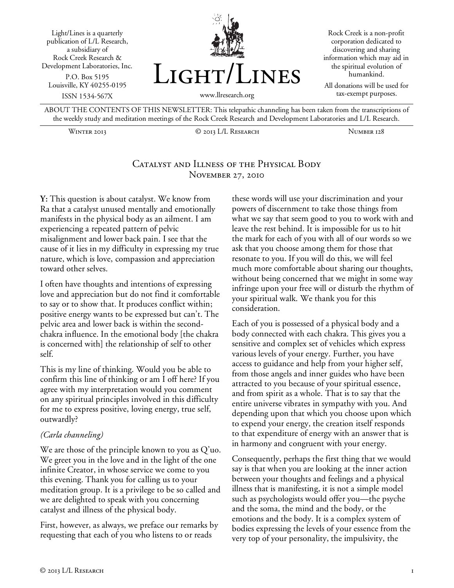



Rock Creek is a non-profit corporation dedicated to discovering and sharing information which may aid in the spiritual evolution of humankind.

All donations will be used for tax-exempt purposes.

ABOUT THE CONTENTS OF THIS NEWSLETTER: This telepathic channeling has been taken from the transcriptions of the weekly study and meditation meetings of the Rock Creek Research and Development Laboratories and L/L Research.

Winter 2013 © 2013 L/L Research Number 128

## Catalyst and Illness of the Physical Body November 27, 2010

**Y:** This question is about catalyst. We know from Ra that a catalyst unused mentally and emotionally manifests in the physical body as an ailment. I am experiencing a repeated pattern of pelvic misalignment and lower back pain. I see that the cause of it lies in my difficulty in expressing my true nature, which is love, compassion and appreciation toward other selves.

I often have thoughts and intentions of expressing love and appreciation but do not find it comfortable to say or to show that. It produces conflict within; positive energy wants to be expressed but can't. The pelvic area and lower back is within the secondchakra influence. In the emotional body [the chakra is concerned with] the relationship of self to other self.

This is my line of thinking. Would you be able to confirm this line of thinking or am I off here? If you agree with my interpretation would you comment on any spiritual principles involved in this difficulty for me to express positive, loving energy, true self, outwardly?

#### *(Carla channeling)*

We are those of the principle known to you as Q'uo. We greet you in the love and in the light of the one infinite Creator, in whose service we come to you this evening. Thank you for calling us to your meditation group. It is a privilege to be so called and we are delighted to speak with you concerning catalyst and illness of the physical body.

First, however, as always, we preface our remarks by requesting that each of you who listens to or reads

these words will use your discrimination and your powers of discernment to take those things from what we say that seem good to you to work with and leave the rest behind. It is impossible for us to hit the mark for each of you with all of our words so we ask that you choose among them for those that resonate to you. If you will do this, we will feel much more comfortable about sharing our thoughts, without being concerned that we might in some way infringe upon your free will or disturb the rhythm of your spiritual walk. We thank you for this consideration.

Each of you is possessed of a physical body and a body connected with each chakra. This gives you a sensitive and complex set of vehicles which express various levels of your energy. Further, you have access to guidance and help from your higher self, from those angels and inner guides who have been attracted to you because of your spiritual essence, and from spirit as a whole. That is to say that the entire universe vibrates in sympathy with you. And depending upon that which you choose upon which to expend your energy, the creation itself responds to that expenditure of energy with an answer that is in harmony and congruent with your energy.

Consequently, perhaps the first thing that we would say is that when you are looking at the inner action between your thoughts and feelings and a physical illness that is manifesting, it is not a simple model such as psychologists would offer you—the psyche and the soma, the mind and the body, or the emotions and the body. It is a complex system of bodies expressing the levels of your essence from the very top of your personality, the impulsivity, the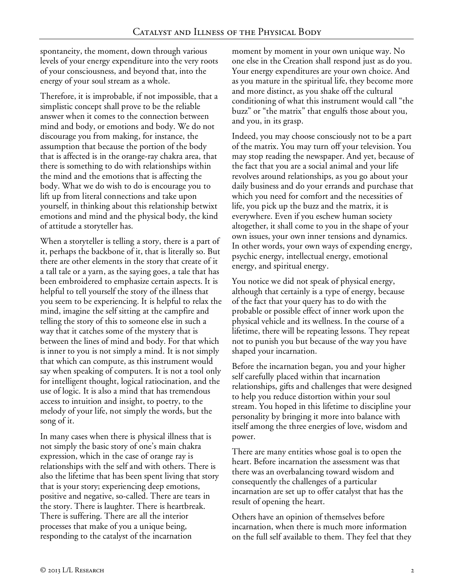spontaneity, the moment, down through various levels of your energy expenditure into the very roots of your consciousness, and beyond that, into the energy of your soul stream as a whole.

Therefore, it is improbable, if not impossible, that a simplistic concept shall prove to be the reliable answer when it comes to the connection between mind and body, or emotions and body. We do not discourage you from making, for instance, the assumption that because the portion of the body that is affected is in the orange-ray chakra area, that there is something to do with relationships within the mind and the emotions that is affecting the body. What we do wish to do is encourage you to lift up from literal connections and take upon yourself, in thinking about this relationship betwixt emotions and mind and the physical body, the kind of attitude a storyteller has.

When a storyteller is telling a story, there is a part of it, perhaps the backbone of it, that is literally so. But there are other elements in the story that create of it a tall tale or a yarn, as the saying goes, a tale that has been embroidered to emphasize certain aspects. It is helpful to tell yourself the story of the illness that you seem to be experiencing. It is helpful to relax the mind, imagine the self sitting at the campfire and telling the story of this to someone else in such a way that it catches some of the mystery that is between the lines of mind and body. For that which is inner to you is not simply a mind. It is not simply that which can compute, as this instrument would say when speaking of computers. It is not a tool only for intelligent thought, logical ratiocination, and the use of logic. It is also a mind that has tremendous access to intuition and insight, to poetry, to the melody of your life, not simply the words, but the song of it.

In many cases when there is physical illness that is not simply the basic story of one's main chakra expression, which in the case of orange ray is relationships with the self and with others. There is also the lifetime that has been spent living that story that is your story; experiencing deep emotions, positive and negative, so-called. There are tears in the story. There is laughter. There is heartbreak. There is suffering. There are all the interior processes that make of you a unique being, responding to the catalyst of the incarnation

moment by moment in your own unique way. No one else in the Creation shall respond just as do you. Your energy expenditures are your own choice. And as you mature in the spiritual life, they become more and more distinct, as you shake off the cultural conditioning of what this instrument would call "the buzz" or "the matrix" that engulfs those about you, and you, in its grasp.

Indeed, you may choose consciously not to be a part of the matrix. You may turn off your television. You may stop reading the newspaper. And yet, because of the fact that you are a social animal and your life revolves around relationships, as you go about your daily business and do your errands and purchase that which you need for comfort and the necessities of life, you pick up the buzz and the matrix, it is everywhere. Even if you eschew human society altogether, it shall come to you in the shape of your own issues, your own inner tensions and dynamics. In other words, your own ways of expending energy, psychic energy, intellectual energy, emotional energy, and spiritual energy.

You notice we did not speak of physical energy, although that certainly is a type of energy, because of the fact that your query has to do with the probable or possible effect of inner work upon the physical vehicle and its wellness. In the course of a lifetime, there will be repeating lessons. They repeat not to punish you but because of the way you have shaped your incarnation.

Before the incarnation began, you and your higher self carefully placed within that incarnation relationships, gifts and challenges that were designed to help you reduce distortion within your soul stream. You hoped in this lifetime to discipline your personality by bringing it more into balance with itself among the three energies of love, wisdom and power.

There are many entities whose goal is to open the heart. Before incarnation the assessment was that there was an overbalancing toward wisdom and consequently the challenges of a particular incarnation are set up to offer catalyst that has the result of opening the heart.

Others have an opinion of themselves before incarnation, when there is much more information on the full self available to them. They feel that they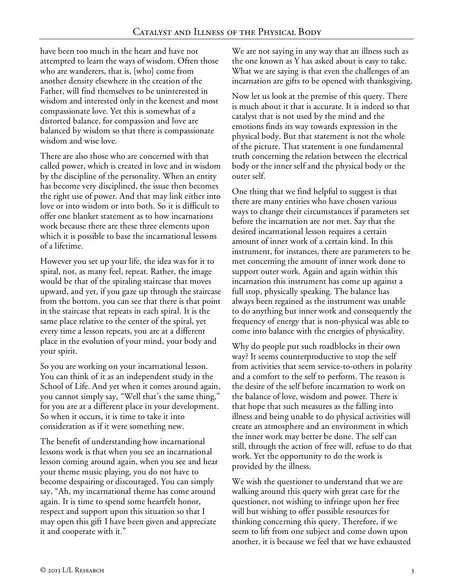have been too much in the heart and have not attempted to learn the ways of wisdom. Often those who are wanderers, that is, [who] come from another density elsewhere in the creation of the Father, will find themselves to be uninterested in wisdom and interested only in the keenest and most compassionate love. Yet this is somewhat of a distorted balance, for compassion and love are balanced by wisdom so that there is compassionate wisdom and wise love.

There are also those who are concerned with that called power, which is created in love and in wisdom by the discipline of the personality. When an entity has become very disciplined, the issue then becomes the right use of power. And that may link either into love or into wisdom or into both. So it is difficult to offer one blanket statement as to how incarnations work because there are these three elements upon which it is possible to base the incarnational lessons of a lifetime.

However you set up your life, the idea was for it to spiral, not, as many feel, repeat. Rather, the image would be that of the spiraling staircase that moves upward, and yet, if you gaze up through the staircase from the bottom, you can see that there is that point in the staircase that repeats in each spiral. It is the same place relative to the center of the spiral, yet every time a lesson repeats, you are at a different place in the evolution of your mind, your body and your spirit.

So you are working on your incarnational lesson. You can think of it as an independent study in the School of Life. And yet when it comes around again, you cannot simply say, "Well that's the same thing," for you are at a different place in your development. So when it occurs, it is time to take it into consideration as if it were something new.

The benefit of understanding how incarnational lessons work is that when you see an incarnational lesson coming around again, when you see and hear your theme music playing, you do not have to become despairing or discouraged. You can simply say, "Ah, my incarnational theme has come around again. It is time to spend some heartfelt honor, respect and support upon this situation so that I may open this gift I have been given and appreciate it and cooperate with it."

We are not saying in any way that an illness such as the one known as Y has asked about is easy to take. What we are saying is that even the challenges of an incarnation are gifts to be opened with thanksgiving.

Now let us look at the premise of this query. There is much about it that is accurate. It is indeed so that catalyst that is not used by the mind and the emotions finds its way towards expression in the physical body. But that statement is not the whole of the picture. That statement is one fundamental truth concerning the relation between the electrical body or the inner self and the physical body or the outer self.

One thing that we find helpful to suggest is that there are many entities who have chosen various ways to change their circumstances if parameters set before the incarnation are not met. Say that the desired incarnational lesson requires a certain amount of inner work of a certain kind. In this instrument, for instances, there are parameters to be met concerning the amount of inner work done to support outer work. Again and again within this incarnation this instrument has come up against a full stop, physically speaking. The balance has always been regained as the instrument was unable to do anything but inner work and consequently the frequency of energy that is non-physical was able to come into balance with the energies of physicality.

Why do people put such roadblocks in their own way? It seems counterproductive to stop the self from activities that seem service-to-others in polarity and a comfort to the self to perform. The reason is the desire of the self before incarnation to work on the balance of love, wisdom and power. There is that hope that such measures as the falling into illness and being unable to do physical activities will create an atmosphere and an environment in which the inner work may better be done. The self can still, through the action of free will, refuse to do that work. Yet the opportunity to do the work is provided by the illness.

We wish the questioner to understand that we are walking around this query with great care for the questioner, not wishing to infringe upon her free will but wishing to offer possible resources for thinking concerning this query. Therefore, if we seem to lift from one subject and come down upon another, it is because we feel that we have exhausted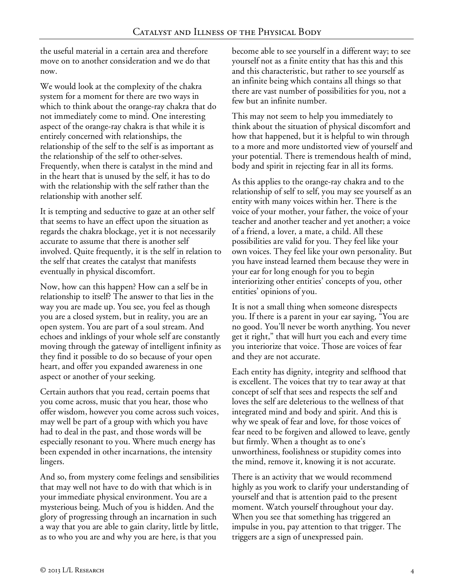the useful material in a certain area and therefore move on to another consideration and we do that now.

We would look at the complexity of the chakra system for a moment for there are two ways in which to think about the orange-ray chakra that do not immediately come to mind. One interesting aspect of the orange-ray chakra is that while it is entirely concerned with relationships, the relationship of the self to the self is as important as the relationship of the self to other-selves. Frequently, when there is catalyst in the mind and in the heart that is unused by the self, it has to do with the relationship with the self rather than the relationship with another self.

It is tempting and seductive to gaze at an other self that seems to have an effect upon the situation as regards the chakra blockage, yet it is not necessarily accurate to assume that there is another self involved. Quite frequently, it is the self in relation to the self that creates the catalyst that manifests eventually in physical discomfort.

Now, how can this happen? How can a self be in relationship to itself? The answer to that lies in the way you are made up. You see, you feel as though you are a closed system, but in reality, you are an open system. You are part of a soul stream. And echoes and inklings of your whole self are constantly moving through the gateway of intelligent infinity as they find it possible to do so because of your open heart, and offer you expanded awareness in one aspect or another of your seeking.

Certain authors that you read, certain poems that you come across, music that you hear, those who offer wisdom, however you come across such voices, may well be part of a group with which you have had to deal in the past, and those words will be especially resonant to you. Where much energy has been expended in other incarnations, the intensity lingers.

And so, from mystery come feelings and sensibilities that may well not have to do with that which is in your immediate physical environment. You are a mysterious being. Much of you is hidden. And the glory of progressing through an incarnation in such a way that you are able to gain clarity, little by little, as to who you are and why you are here, is that you

become able to see yourself in a different way; to see yourself not as a finite entity that has this and this and this characteristic, but rather to see yourself as an infinite being which contains all things so that there are vast number of possibilities for you, not a few but an infinite number.

This may not seem to help you immediately to think about the situation of physical discomfort and how that happened, but it is helpful to win through to a more and more undistorted view of yourself and your potential. There is tremendous health of mind, body and spirit in rejecting fear in all its forms.

As this applies to the orange-ray chakra and to the relationship of self to self, you may see yourself as an entity with many voices within her. There is the voice of your mother, your father, the voice of your teacher and another teacher and yet another; a voice of a friend, a lover, a mate, a child. All these possibilities are valid for you. They feel like your own voices. They feel like your own personality. But you have instead learned them because they were in your ear for long enough for you to begin interiorizing other entities' concepts of you, other entities' opinions of you.

It is not a small thing when someone disrespects you. If there is a parent in your ear saying, "You are no good. You'll never be worth anything. You never get it right," that will hurt you each and every time you interiorize that voice. Those are voices of fear and they are not accurate.

Each entity has dignity, integrity and selfhood that is excellent. The voices that try to tear away at that concept of self that sees and respects the self and loves the self are deleterious to the wellness of that integrated mind and body and spirit. And this is why we speak of fear and love, for those voices of fear need to be forgiven and allowed to leave, gently but firmly. When a thought as to one's unworthiness, foolishness or stupidity comes into the mind, remove it, knowing it is not accurate.

There is an activity that we would recommend highly as you work to clarify your understanding of yourself and that is attention paid to the present moment. Watch yourself throughout your day. When you see that something has triggered an impulse in you, pay attention to that trigger. The triggers are a sign of unexpressed pain.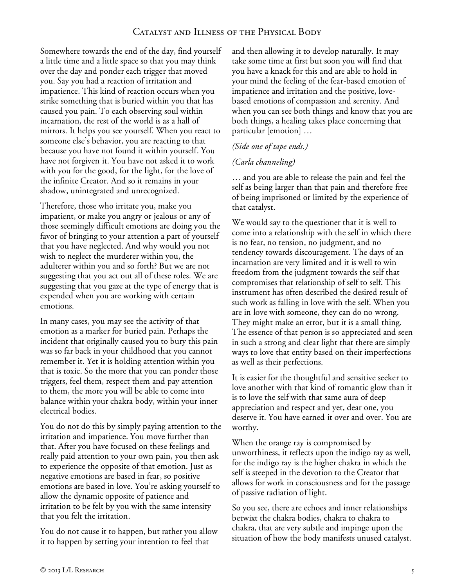Somewhere towards the end of the day, find yourself a little time and a little space so that you may think over the day and ponder each trigger that moved you. Say you had a reaction of irritation and impatience. This kind of reaction occurs when you strike something that is buried within you that has caused you pain. To each observing soul within incarnation, the rest of the world is as a hall of mirrors. It helps you see yourself. When you react to someone else's behavior, you are reacting to that because you have not found it within yourself. You have not forgiven it. You have not asked it to work with you for the good, for the light, for the love of the infinite Creator. And so it remains in your shadow, unintegrated and unrecognized.

Therefore, those who irritate you, make you impatient, or make you angry or jealous or any of those seemingly difficult emotions are doing you the favor of bringing to your attention a part of yourself that you have neglected. And why would you not wish to neglect the murderer within you, the adulterer within you and so forth? But we are not suggesting that you act out all of these roles. We are suggesting that you gaze at the type of energy that is expended when you are working with certain emotions.

In many cases, you may see the activity of that emotion as a marker for buried pain. Perhaps the incident that originally caused you to bury this pain was so far back in your childhood that you cannot remember it. Yet it is holding attention within you that is toxic. So the more that you can ponder those triggers, feel them, respect them and pay attention to them, the more you will be able to come into balance within your chakra body, within your inner electrical bodies.

You do not do this by simply paying attention to the irritation and impatience. You move further than that. After you have focused on these feelings and really paid attention to your own pain, you then ask to experience the opposite of that emotion. Just as negative emotions are based in fear, so positive emotions are based in love. You're asking yourself to allow the dynamic opposite of patience and irritation to be felt by you with the same intensity that you felt the irritation.

You do not cause it to happen, but rather you allow it to happen by setting your intention to feel that

and then allowing it to develop naturally. It may take some time at first but soon you will find that you have a knack for this and are able to hold in your mind the feeling of the fear-based emotion of impatience and irritation and the positive, lovebased emotions of compassion and serenity. And when you can see both things and know that you are both things, a healing takes place concerning that particular [emotion] …

# *(Side one of tape ends.)*

## *(Carla channeling)*

… and you are able to release the pain and feel the self as being larger than that pain and therefore free of being imprisoned or limited by the experience of that catalyst.

We would say to the questioner that it is well to come into a relationship with the self in which there is no fear, no tension, no judgment, and no tendency towards discouragement. The days of an incarnation are very limited and it is well to win freedom from the judgment towards the self that compromises that relationship of self to self. This instrument has often described the desired result of such work as falling in love with the self. When you are in love with someone, they can do no wrong. They might make an error, but it is a small thing. The essence of that person is so appreciated and seen in such a strong and clear light that there are simply ways to love that entity based on their imperfections as well as their perfections.

It is easier for the thoughtful and sensitive seeker to love another with that kind of romantic glow than it is to love the self with that same aura of deep appreciation and respect and yet, dear one, you deserve it. You have earned it over and over. You are worthy.

When the orange ray is compromised by unworthiness, it reflects upon the indigo ray as well, for the indigo ray is the higher chakra in which the self is steeped in the devotion to the Creator that allows for work in consciousness and for the passage of passive radiation of light.

So you see, there are echoes and inner relationships betwixt the chakra bodies, chakra to chakra to chakra, that are very subtle and impinge upon the situation of how the body manifests unused catalyst.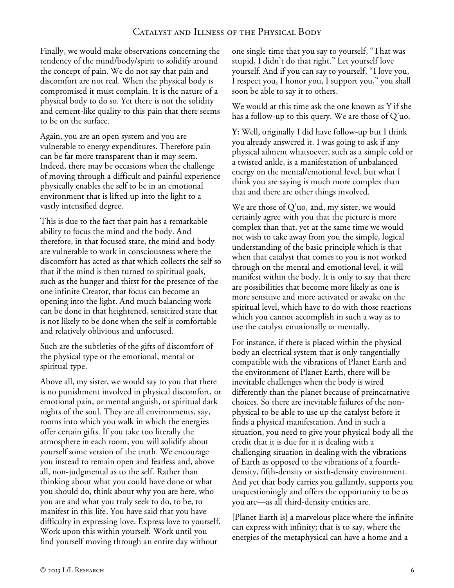Finally, we would make observations concerning the tendency of the mind/body/spirit to solidify around the concept of pain. We do not say that pain and discomfort are not real. When the physical body is compromised it must complain. It is the nature of a physical body to do so. Yet there is not the solidity and cement-like quality to this pain that there seems to be on the surface.

Again, you are an open system and you are vulnerable to energy expenditures. Therefore pain can be far more transparent than it may seem. Indeed, there may be occasions when the challenge of moving through a difficult and painful experience physically enables the self to be in an emotional environment that is lifted up into the light to a vastly intensified degree.

This is due to the fact that pain has a remarkable ability to focus the mind and the body. And therefore, in that focused state, the mind and body are vulnerable to work in consciousness where the discomfort has acted as that which collects the self so that if the mind is then turned to spiritual goals, such as the hunger and thirst for the presence of the one infinite Creator, that focus can become an opening into the light. And much balancing work can be done in that heightened, sensitized state that is not likely to be done when the self is comfortable and relatively oblivious and unfocused.

Such are the subtleties of the gifts of discomfort of the physical type or the emotional, mental or spiritual type.

Above all, my sister, we would say to you that there is no punishment involved in physical discomfort, or emotional pain, or mental anguish, or spiritual dark nights of the soul. They are all environments, say, rooms into which you walk in which the energies offer certain gifts. If you take too literally the atmosphere in each room, you will solidify about yourself some version of the truth. We encourage you instead to remain open and fearless and, above all, non-judgmental as to the self. Rather than thinking about what you could have done or what you should do, think about why you are here, who you are and what you truly seek to do, to be, to manifest in this life. You have said that you have difficulty in expressing love. Express love to yourself. Work upon this within yourself. Work until you find yourself moving through an entire day without

one single time that you say to yourself, "That was stupid, I didn't do that right." Let yourself love yourself. And if you can say to yourself, "I love you, I respect you, I honor you, I support you," you shall soon be able to say it to others.

We would at this time ask the one known as Y if she has a follow-up to this query. We are those of Q'uo.

**Y:** Well, originally I did have follow-up but I think you already answered it. I was going to ask if any physical ailment whatsoever, such as a simple cold or a twisted ankle, is a manifestation of unbalanced energy on the mental/emotional level, but what I think you are saying is much more complex than that and there are other things involved.

We are those of Q'uo, and, my sister, we would certainly agree with you that the picture is more complex than that, yet at the same time we would not wish to take away from you the simple, logical understanding of the basic principle which is that when that catalyst that comes to you is not worked through on the mental and emotional level, it will manifest within the body. It is only to say that there are possibilities that become more likely as one is more sensitive and more activated or awake on the spiritual level, which have to do with those reactions which you cannot accomplish in such a way as to use the catalyst emotionally or mentally.

For instance, if there is placed within the physical body an electrical system that is only tangentially compatible with the vibrations of Planet Earth and the environment of Planet Earth, there will be inevitable challenges when the body is wired differently than the planet because of preincarnative choices. So there are inevitable failures of the nonphysical to be able to use up the catalyst before it finds a physical manifestation. And in such a situation, you need to give your physical body all the credit that it is due for it is dealing with a challenging situation in dealing with the vibrations of Earth as opposed to the vibrations of a fourthdensity, fifth-density or sixth-density environment. And yet that body carries you gallantly, supports you unquestioningly and offers the opportunity to be as you are—as all third-density entities are.

[Planet Earth is] a marvelous place where the infinite can express with infinity; that is to say, where the energies of the metaphysical can have a home and a